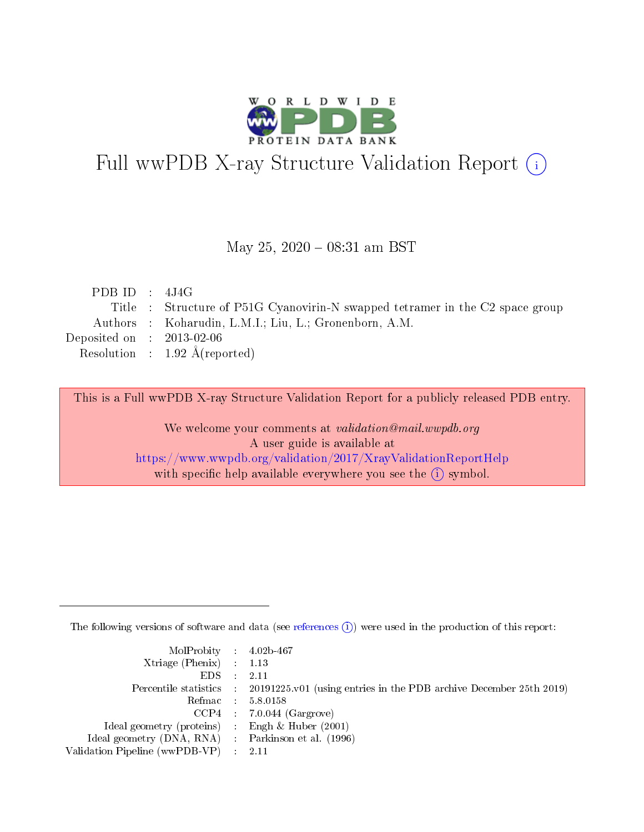

## Full wwPDB X-ray Structure Validation Report (i)

#### May 25,  $2020 - 08:31$  am BST

| PDB ID : $4J4G$             |                                                                               |
|-----------------------------|-------------------------------------------------------------------------------|
|                             | Title : Structure of P51G Cyanovirin-N swapped tetramer in the C2 space group |
|                             | Authors : Koharudin, L.M.I.; Liu, L.; Gronenborn, A.M.                        |
| Deposited on : $2013-02-06$ |                                                                               |
|                             | Resolution : $1.92 \text{ Å}$ (reported)                                      |
|                             |                                                                               |

This is a Full wwPDB X-ray Structure Validation Report for a publicly released PDB entry.

We welcome your comments at validation@mail.wwpdb.org A user guide is available at <https://www.wwpdb.org/validation/2017/XrayValidationReportHelp> with specific help available everywhere you see the  $(i)$  symbol.

The following versions of software and data (see [references](https://www.wwpdb.org/validation/2017/XrayValidationReportHelp#references)  $(i)$ ) were used in the production of this report:

| $MolProbability$ 4.02b-467                          |                                                                                            |
|-----------------------------------------------------|--------------------------------------------------------------------------------------------|
| Xtriage (Phenix) $: 1.13$                           |                                                                                            |
| $EDS$ :                                             | -2.11                                                                                      |
|                                                     | Percentile statistics : 20191225.v01 (using entries in the PDB archive December 25th 2019) |
|                                                     | Refmac : 5.8.0158                                                                          |
|                                                     | $CCP4$ : 7.0.044 (Gargrove)                                                                |
| Ideal geometry (proteins) : Engh $\&$ Huber (2001)  |                                                                                            |
| Ideal geometry (DNA, RNA) : Parkinson et al. (1996) |                                                                                            |
| Validation Pipeline (wwPDB-VP)                      | -2.11                                                                                      |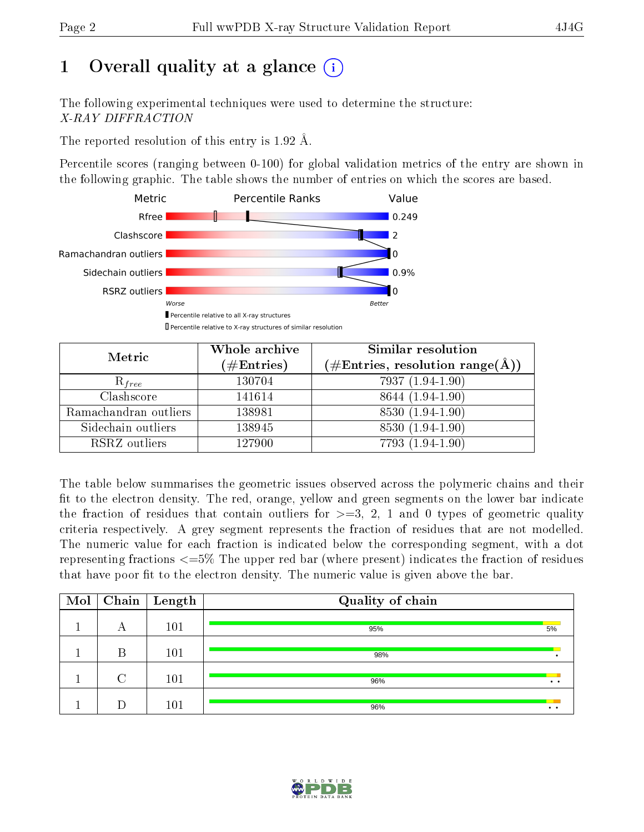## 1 [O](https://www.wwpdb.org/validation/2017/XrayValidationReportHelp#overall_quality)verall quality at a glance  $(i)$

The following experimental techniques were used to determine the structure: X-RAY DIFFRACTION

The reported resolution of this entry is 1.92 Å.

Percentile scores (ranging between 0-100) for global validation metrics of the entry are shown in the following graphic. The table shows the number of entries on which the scores are based.



| Metric                | Whole archive<br>$(\#\mathrm{Entries})$ | Similar resolution<br>(#Entries, resolution range(Å)) |
|-----------------------|-----------------------------------------|-------------------------------------------------------|
| $R_{free}$            | 130704                                  | 7937 (1.94-1.90)                                      |
| Clashscore            | 141614                                  | 8644 (1.94-1.90)                                      |
| Ramachandran outliers | 138981                                  | 8530 (1.94-1.90)                                      |
| Sidechain outliers    | 138945                                  | 8530 (1.94-1.90)                                      |
| RSRZ outliers         | 127900                                  | 7793 (1.94-1.90)                                      |

The table below summarises the geometric issues observed across the polymeric chains and their fit to the electron density. The red, orange, yellow and green segments on the lower bar indicate the fraction of residues that contain outliers for  $>=3, 2, 1$  and 0 types of geometric quality criteria respectively. A grey segment represents the fraction of residues that are not modelled. The numeric value for each fraction is indicated below the corresponding segment, with a dot representing fractions  $\epsilon=5\%$  The upper red bar (where present) indicates the fraction of residues that have poor fit to the electron density. The numeric value is given above the bar.

| Mol |        | $\boxed{\text{Chain}}$ Length | Quality of chain |                 |
|-----|--------|-------------------------------|------------------|-----------------|
|     | A      | 101                           | 95%              | 5%              |
|     | В      | 101                           | 98%              |                 |
|     | $\cap$ | 101                           | 96%              | $\cdot$ $\cdot$ |
|     |        | 101                           | 96%              | $\cdot$ $\cdot$ |

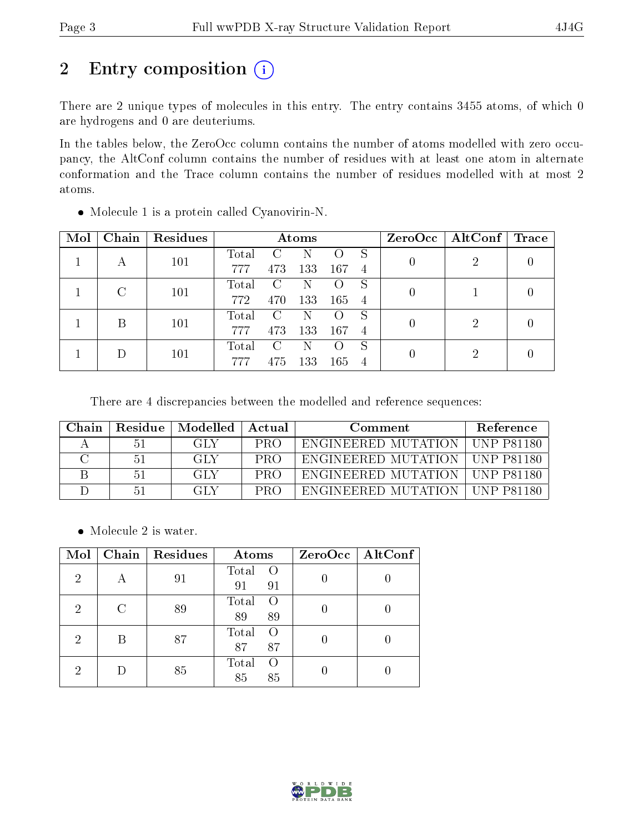# 2 Entry composition (i)

There are 2 unique types of molecules in this entry. The entry contains 3455 atoms, of which 0 are hydrogens and 0 are deuteriums.

In the tables below, the ZeroOcc column contains the number of atoms modelled with zero occupancy, the AltConf column contains the number of residues with at least one atom in alternate conformation and the Trace column contains the number of residues modelled with at most 2 atoms.

| Mol | Chain | Residues | Atoms       |               |     |     |                |  | $ZeroOcc \mid AltConf \mid Trace$ |  |
|-----|-------|----------|-------------|---------------|-----|-----|----------------|--|-----------------------------------|--|
|     |       | 101      | Total       |               |     |     |                |  | റ                                 |  |
|     |       |          | 777         | 473           | 133 | 167 | -4             |  |                                   |  |
|     |       | 101      | Total       | $\mathcal{C}$ |     |     | S              |  |                                   |  |
|     |       |          | 772         | 470           | 133 | 165 | $\overline{4}$ |  |                                   |  |
|     | В     | 101      | Total       | $\mathcal{C}$ | N   |     | S              |  | റ                                 |  |
|     |       |          | 777         | 473           | 133 | 167 | $\overline{4}$ |  |                                   |  |
|     |       |          | $\rm Total$ | $\mathcal{C}$ | N   |     | S              |  | ച                                 |  |
|     |       | 101      |             | 475           | 133 | 165 | $\overline{4}$ |  |                                   |  |

Molecule 1 is a protein called Cyanovirin-N.

There are 4 discrepancies between the modelled and reference sequences:

| Chain. | Residue | Modelled | Actual     | Comment             | Reference     |
|--------|---------|----------|------------|---------------------|---------------|
|        | 51      | -GLY     | <b>PRO</b> | ENGINEERED MUTATION | - LUNP P81180 |
|        | 51      | GLY      | PRO        | ENGINEERED MUTATION | UNP P81180    |
|        | 51      | GLY      | PRO        | ENGINEERED MUTATION | ∟UNP P81180   |
|        | 51      | GLY      | PR∩        | ENGINEERED MUTATION | TINP P81180   |

• Molecule 2 is water.

| Mol            | Chain | Residues | Atoms                     | ZeroOcc   AltConf |
|----------------|-------|----------|---------------------------|-------------------|
| $\overline{2}$ |       | 91       | Total<br>$\Omega$         |                   |
|                |       |          | 91<br>91                  |                   |
| $\overline{2}$ | C     | 89       | Total<br>$\left( \right)$ |                   |
|                |       |          | 89<br>89                  |                   |
| $\overline{2}$ |       | 87       | Total<br>$\Omega$         |                   |
|                |       |          | 87<br>87                  |                   |
| 2              |       |          | Total<br>$\left( \right)$ |                   |
|                |       | 85       | 85<br>85                  |                   |

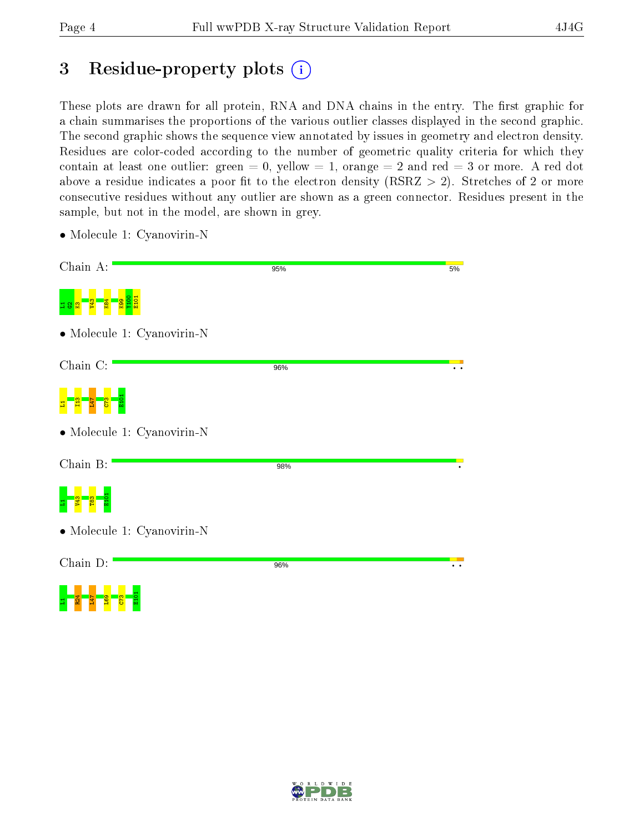## 3 Residue-property plots  $(i)$

These plots are drawn for all protein, RNA and DNA chains in the entry. The first graphic for a chain summarises the proportions of the various outlier classes displayed in the second graphic. The second graphic shows the sequence view annotated by issues in geometry and electron density. Residues are color-coded according to the number of geometric quality criteria for which they contain at least one outlier: green  $= 0$ , yellow  $= 1$ , orange  $= 2$  and red  $= 3$  or more. A red dot above a residue indicates a poor fit to the electron density (RSRZ  $> 2$ ). Stretches of 2 or more consecutive residues without any outlier are shown as a green connector. Residues present in the sample, but not in the model, are shown in grey.

• Molecule 1: Cyanovirin-N

<mark>d g g g</mark>

| Chain A:                   | 95% | 5% |
|----------------------------|-----|----|
|                            |     |    |
| • Molecule 1: Cyanovirin-N |     |    |
| Chain C:                   | 96% |    |
|                            |     |    |
| • Molecule 1: Cyanovirin-N |     |    |
| Chain B:                   | 98% |    |
|                            |     |    |
| • Molecule 1: Cyanovirin-N |     |    |
| Chain D:                   | 96% |    |
| <b>E</b> 61<br>747<br>π    |     |    |

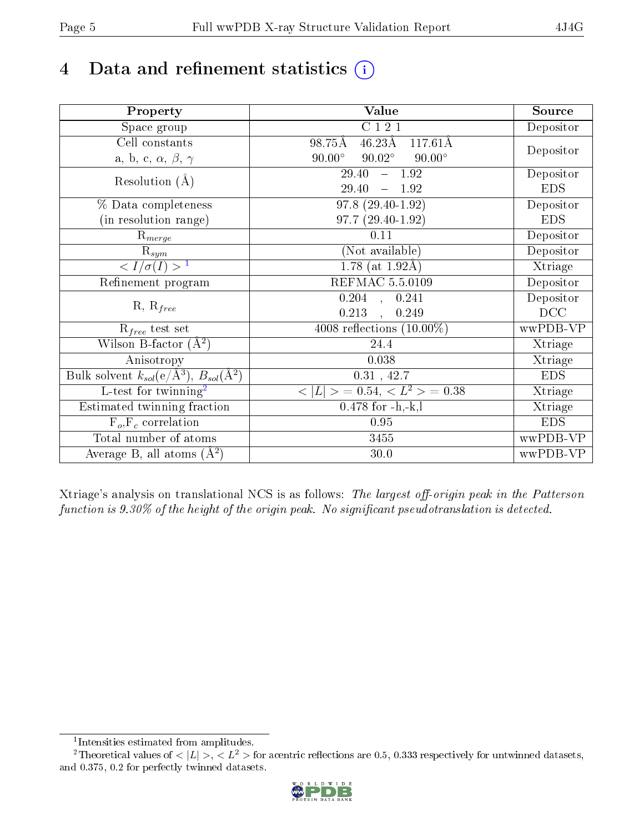## 4 Data and refinement statistics  $(i)$

| Property                                                             | Value                                             | Source     |
|----------------------------------------------------------------------|---------------------------------------------------|------------|
| Space group                                                          | C121                                              | Depositor  |
| Cell constants                                                       | $46.23\text{\AA}$<br>$117.61\text{\AA}$<br>98.75Å |            |
| a, b, c, $\alpha$ , $\beta$ , $\gamma$                               | $90.02^{\circ}$<br>$90.00^\circ$<br>$90.00^\circ$ | Depositor  |
| Resolution $(A)$                                                     | 29.40<br>$-1.92$                                  | Depositor  |
|                                                                      | 29.40<br>$-1.92$                                  | <b>EDS</b> |
| % Data completeness                                                  | 97.8 (29.40-1.92)                                 | Depositor  |
| (in resolution range)                                                | $97.7(29.40-1.92)$                                | <b>EDS</b> |
| $\mathrm{R}_{merge}$                                                 | 0.11                                              | Depositor  |
| $\mathrm{R}_{sym}$                                                   | (Not available)                                   | Depositor  |
| $\sqrt{I/\sigma(I)} > 1$                                             | $\overline{1.78}$ (at 1.92Å)                      | Xtriage    |
| Refinement program                                                   | <b>REFMAC 5.5.0109</b>                            | Depositor  |
|                                                                      | 0.204, 0.241                                      | Depositor  |
| $R, R_{free}$                                                        | 0.213<br>0.249<br>$\ddot{\phantom{a}}$            | DCC        |
| $R_{free}$ test set                                                  | 4008 reflections $(10.00\%)$                      | wwPDB-VP   |
| Wilson B-factor $(A^2)$                                              | 24.4                                              | Xtriage    |
| Anisotropy                                                           | 0.038                                             | Xtriage    |
| Bulk solvent $k_{sol}(e/\mathring{A}^3)$ , $B_{sol}(\mathring{A}^2)$ | 0.31, 42.7                                        | <b>EDS</b> |
| $\overline{L-test for}$ twinning <sup>2</sup>                        | $< L >$ = 0.54, $< L2$ = 0.38                     | Xtriage    |
| Estimated twinning fraction                                          | $0.478$ for $-h,-k,l$                             | Xtriage    |
| $F_o, F_c$ correlation                                               | 0.95                                              | <b>EDS</b> |
| Total number of atoms                                                | 3455                                              | wwPDB-VP   |
| Average B, all atoms $(A^2)$                                         | 30.0                                              | wwPDB-VP   |

Xtriage's analysis on translational NCS is as follows: The largest off-origin peak in the Patterson function is  $9.30\%$  of the height of the origin peak. No significant pseudotranslation is detected.

<sup>&</sup>lt;sup>2</sup>Theoretical values of  $\langle |L| \rangle$ ,  $\langle L^2 \rangle$  for acentric reflections are 0.5, 0.333 respectively for untwinned datasets, and 0.375, 0.2 for perfectly twinned datasets.



<span id="page-4-1"></span><span id="page-4-0"></span><sup>1</sup> Intensities estimated from amplitudes.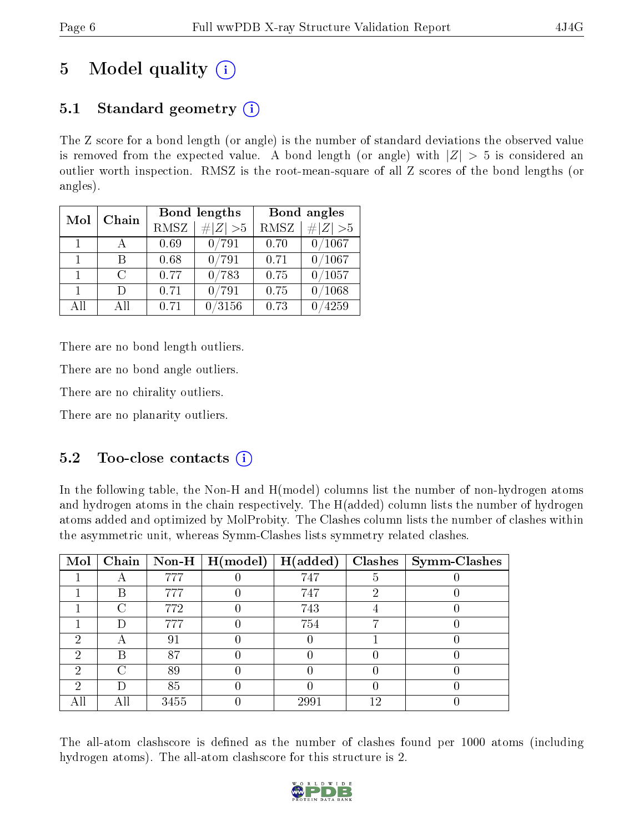## 5 Model quality  $(i)$

## 5.1 Standard geometry  $(i)$

The Z score for a bond length (or angle) is the number of standard deviations the observed value is removed from the expected value. A bond length (or angle) with  $|Z| > 5$  is considered an outlier worth inspection. RMSZ is the root-mean-square of all Z scores of the bond lengths (or angles).

| Mol            | Chain  |      | Bond lengths    | Bond angles |                 |
|----------------|--------|------|-----------------|-------------|-----------------|
|                |        |      | # $ Z >5$       | RMSZ        | $\# Z  > 5$     |
| $\overline{1}$ |        | 0.69 | 0/791           | 0.70        | 0/1067          |
| 1.             | R      | 0.68 | $0\, / 791$     | 0.71        | 0/1067          |
| $\mathbf{1}$   | $\cap$ | 0.77 | 0/783           | 0.75        | 0/1057          |
| $\mathbf{1}$   | $\Box$ | 0.71 | 0/791           | 0.75        | $^{\prime}1068$ |
| AH             | ΑH     | 0.71 | $^{\prime}3156$ | 0.73        | 4259            |

There are no bond length outliers.

There are no bond angle outliers.

There are no chirality outliers.

There are no planarity outliers.

#### 5.2 Too-close contacts  $\overline{()}$

In the following table, the Non-H and H(model) columns list the number of non-hydrogen atoms and hydrogen atoms in the chain respectively. The H(added) column lists the number of hydrogen atoms added and optimized by MolProbity. The Clashes column lists the number of clashes within the asymmetric unit, whereas Symm-Clashes lists symmetry related clashes.

| Mol |      |      | $\mid$ Chain $\mid$ Non-H $\mid$ H(model) $\mid$ H(added) |      |    | Clashes   Symm-Clashes |
|-----|------|------|-----------------------------------------------------------|------|----|------------------------|
|     |      | 777  |                                                           | 747  |    |                        |
|     | B    | 777  |                                                           | 747  | 6) |                        |
|     | ∩    | 772  |                                                           | 743  |    |                        |
|     |      | 777  |                                                           | 754  |    |                        |
| ച   | Α    | 91   |                                                           |      |    |                        |
| 2   | В    | 87   |                                                           |      |    |                        |
| 2   | ∩    | 89   |                                                           |      |    |                        |
| ച   | D    | 85   |                                                           |      |    |                        |
|     | A II | 3455 |                                                           | 2991 | 19 |                        |

The all-atom clashscore is defined as the number of clashes found per 1000 atoms (including hydrogen atoms). The all-atom clashscore for this structure is 2.

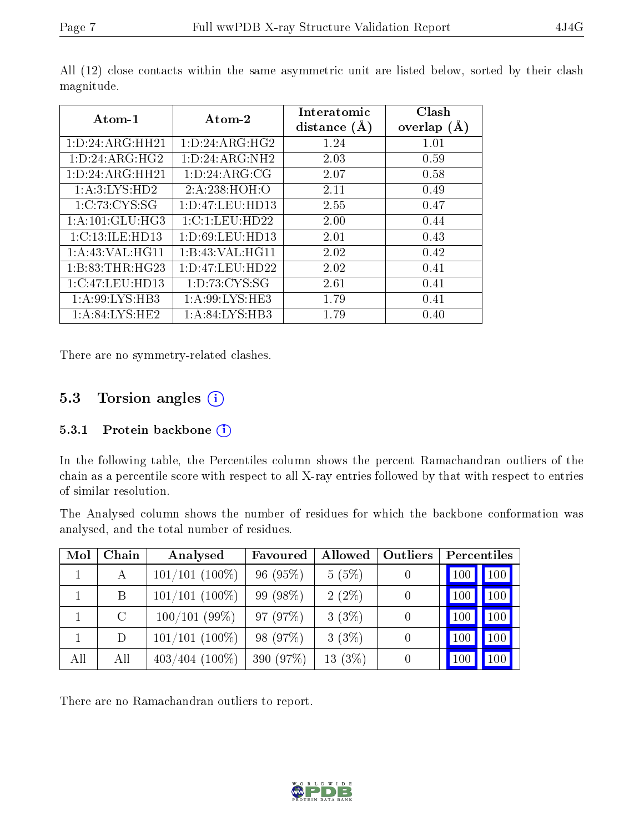| Atom-1              | Atom-2              | <b>Interatomic</b><br>distance $(A)$ | Clash<br>overlap $(A)$ |
|---------------------|---------------------|--------------------------------------|------------------------|
| 1:D:24:ARG:HH21     | 1: D: 24: ARG: HG2  | 1.24                                 | 1.01                   |
| 1: D: 24: ARG: HG2  | 1: D: 24: ARG: NH2  | 2.03                                 | 0.59                   |
| 1: D: 24: ARG: HH21 | 1: D: 24: ARG: CG   | 2.07                                 | 0.58                   |
| 1:A:3:LYS:HD2       | 2:A:238:HOH:O       | 2.11                                 | 0.49                   |
| 1:C:73:CYS:SG       | 1: D: 47: LEU: HD13 | 2.55                                 | 0.47                   |
| 1:A:101:GLU:HG3     | 1:C:1:LEU:HD22      | 2.00                                 | 0.44                   |
| 1:C:13:ILE:HD13     | 1:D:69:LEU:HD13     | 2.01                                 | 0.43                   |
| 1: A:43: VAL:HGI1   | 1:B:43:VAL:HG11     | 2.02                                 | 0.42                   |
| 1: B: 83: THR: HG23 | 1: D: 47: LEU: HD22 | 2.02                                 | 0.41                   |
| 1:C:47:LEU:HD13     | 1: D: 73: CYS: SG   | 2.61                                 | 0.41                   |
| 1:A:99:LYS:HB3      | 1: A:99: LYS: HE3   | 1.79                                 | 0.41                   |
| 1: A:84: LYS:HE2    | 1:A:84:LYS:HB3      | 1.79                                 | 0.40                   |

All (12) close contacts within the same asymmetric unit are listed below, sorted by their clash magnitude.

There are no symmetry-related clashes.

#### 5.3 Torsion angles (i)

#### 5.3.1 Protein backbone (i)

In the following table, the Percentiles column shows the percent Ramachandran outliers of the chain as a percentile score with respect to all X-ray entries followed by that with respect to entries of similar resolution.

The Analysed column shows the number of residues for which the backbone conformation was analysed, and the total number of residues.

| Mol | Chain   | Analysed         | Favoured  | Allowed  | Outliers       | Percentiles         |                  |
|-----|---------|------------------|-----------|----------|----------------|---------------------|------------------|
|     | А       | $101/101$ (100%) | 96(95%)   | 5(5%)    |                | 100                 | $\boxed{100}$    |
|     | B       | $101/101$ (100%) | 99 (98%)  | $2(2\%)$ | $\overline{0}$ | $\vert$ 100 $\vert$ | 100 <sub>1</sub> |
|     | $\rm C$ | 100/101(99%)     | 97 (97%)  | $3(3\%)$ |                | 100                 | 100              |
|     | D       | $101/101$ (100%) | 98 (97%)  | 3(3%)    |                | 100                 | 100 <sub>1</sub> |
| All | All     | $403/404$ (100%) | 390 (97%) | 13(3%)   |                |                     | 100              |

There are no Ramachandran outliers to report.

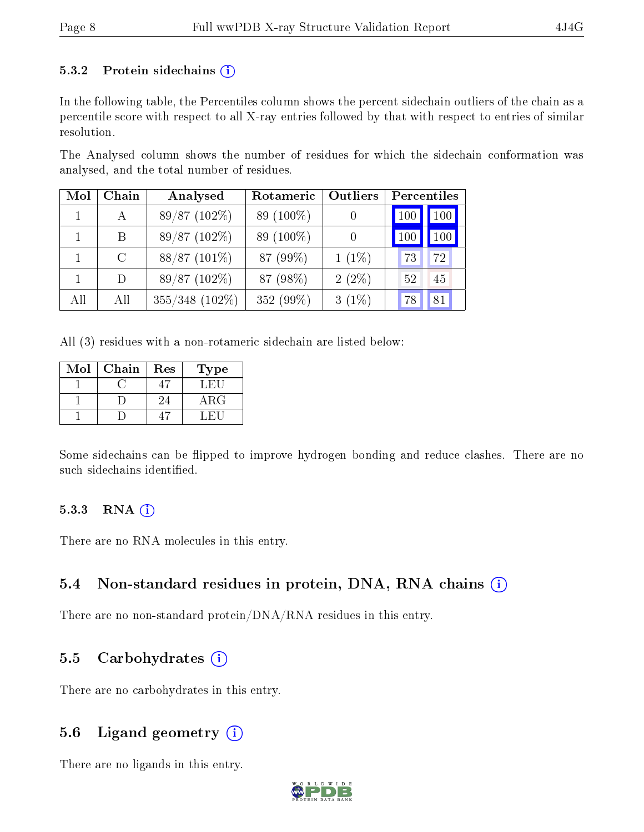#### 5.3.2 Protein sidechains  $(i)$

In the following table, the Percentiles column shows the percent sidechain outliers of the chain as a percentile score with respect to all X-ray entries followed by that with respect to entries of similar resolution.

The Analysed column shows the number of residues for which the sidechain conformation was analysed, and the total number of residues.

| Mol | Chain         | Analysed       | <b>Outliers</b><br>Rotameric |          | Percentiles |            |  |
|-----|---------------|----------------|------------------------------|----------|-------------|------------|--|
|     |               | 89/87 (102%)   | 89 (100\%)                   |          | 100         | $100 \mid$ |  |
|     | B.            | 89/87 (102%)   | 89 (100\%)                   |          | 100         | $100 \mid$ |  |
|     | $\mathcal{C}$ | $88/87(101\%)$ | 87 (99%)                     | $1(1\%)$ | 73          | 72         |  |
|     | D             | 89/87 (102%)   | 87 (98%)                     | $2(2\%)$ | 52          | 45         |  |
| All | All           | 355/348 (102%) | 352 (99%)                    | $3(1\%)$ | 78          | 81         |  |

All (3) residues with a non-rotameric sidechain are listed below:

| Mol | Chain | Res | Type        |
|-----|-------|-----|-------------|
|     |       |     | L.H.        |
|     |       | 24  | ${\rm ARG}$ |
|     |       |     |             |

Some sidechains can be flipped to improve hydrogen bonding and reduce clashes. There are no such sidechains identified.

#### $5.3.3$  RNA  $(i)$

There are no RNA molecules in this entry.

#### 5.4 Non-standard residues in protein, DNA, RNA chains  $(i)$

There are no non-standard protein/DNA/RNA residues in this entry.

#### 5.5 Carbohydrates (i)

There are no carbohydrates in this entry.

#### 5.6 Ligand geometry  $(i)$

There are no ligands in this entry.

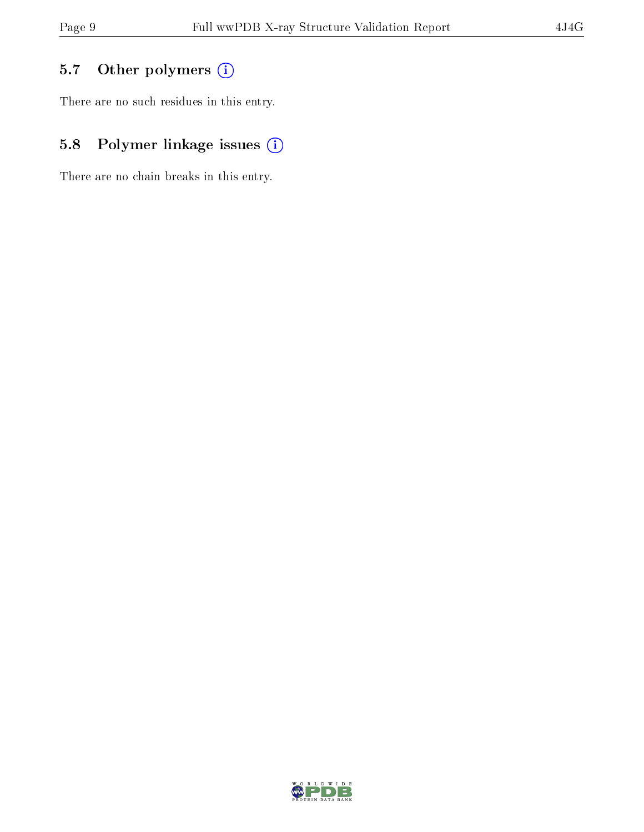## 5.7 [O](https://www.wwpdb.org/validation/2017/XrayValidationReportHelp#nonstandard_residues_and_ligands)ther polymers (i)

There are no such residues in this entry.

## 5.8 Polymer linkage issues (i)

There are no chain breaks in this entry.